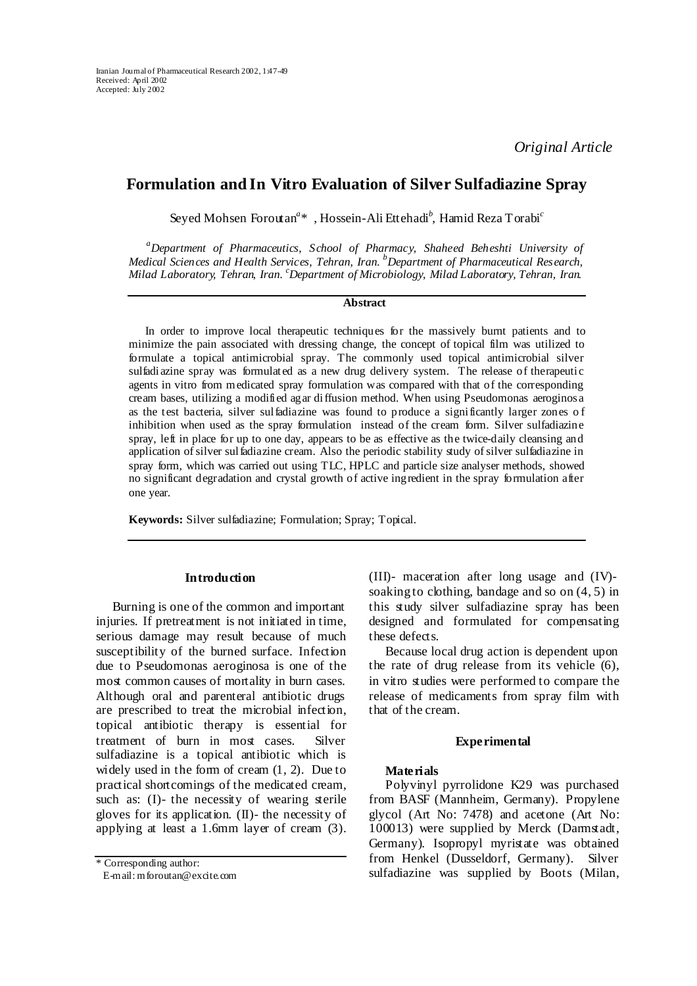# **Formulation and In Vitro Evaluation of Silver Sulfadiazine Spray**

Seyed Mohsen Foroutan*<sup>a</sup>* \* , Hossein-Ali Ettehadi*<sup>b</sup>* , Hamid Reza Torabi*<sup>c</sup>*

*a Department of Pharmaceutics, School of Pharmacy, Shaheed Beheshti University of Medical Sciences and Health Services, Tehran, Iran. b Department of Pharmaceutical Research, Milad Laboratory, Tehran, Iran. <sup>c</sup> Department of Microbiology, Milad Laboratory, Tehran, Iran.* 

## **Abstract**

In order to improve local therapeutic techniques for the massively burnt patients and to minimize the pain associated with dressing change, the concept of topical film was utilized to formulate a topical antimicrobial spray. The commonly used topical antimicrobial silver sulfadiazine spray was formulated as a new drug delivery system. The release of therapeutic agents in vitro from medicated spray formulation was compared with that of the corresponding cream bases, utilizing a modified agar diffusion method. When using Pseudomonas aeroginosa as the test bacteria, silver sulfadiazine was found to produce a significantly larger zones o f inhibition when used as the spray formulation instead of the cream form. Silver sulfadiazine spray, left in place for up to one day, appears to be as effective as the twice-daily cleansing and application of silver sulfadiazine cream. Also the periodic stability study of silver sulfadiazine in spray form, which was carried out using TLC, HPLC and particle size analyser methods, showed no significant degradation and crystal growth of active ingredient in the spray formulation after one year.

**Keywords:** Silver sulfadiazine; Formulation; Spray; Topical.

#### **Introduction**

Burning is one of the common and important injuries. If pretreatment is not initiated in time, serious damage may result because of much susceptibility of the burned surface. Infection due to Pseudomonas aeroginosa is one of the most common causes of mortality in burn cases. Although oral and parenteral antibiotic drugs are prescribed to treat the microbial infection, topical antibiotic therapy is essential for treatment of burn in most cases. Silver sulfadiazine is a topical antibiotic which is widely used in the form of cream (1, 2). Due to practical shortcomings of the medicated cream, such as: (I)- the necessity of wearing sterile gloves for its application. (II)- the necessity of applying at least a 1.6mm layer of cream (3).

E-mail: mforoutan@excite.com

(III)- maceration after long usage and (IV) soaking to clothing, bandage and so on  $(4, 5)$  in this study silver sulfadiazine spray has been designed and formulated for compensating these defects.

Because local drug action is dependent upon the rate of drug release from its vehicle (6), in vitro studies were performed to compare the release of medicaments from spray film with that of the cream.

#### **Experimental**

#### **Materials**

Polyvinyl pyrrolidone K29 was purchased from BASF (Mannheim, Germany). Propylene glycol (Art No: 7478) and acetone (Art No: 100013) were supplied by Merck (Darmstadt, Germany). Isopropyl myristate was obtained from Henkel (Dusseldorf, Germany). Silver \* Corresponding author:<br>
E-mail: mforoutan@excite.com sulfadiazine was supplied by Boots (Milan,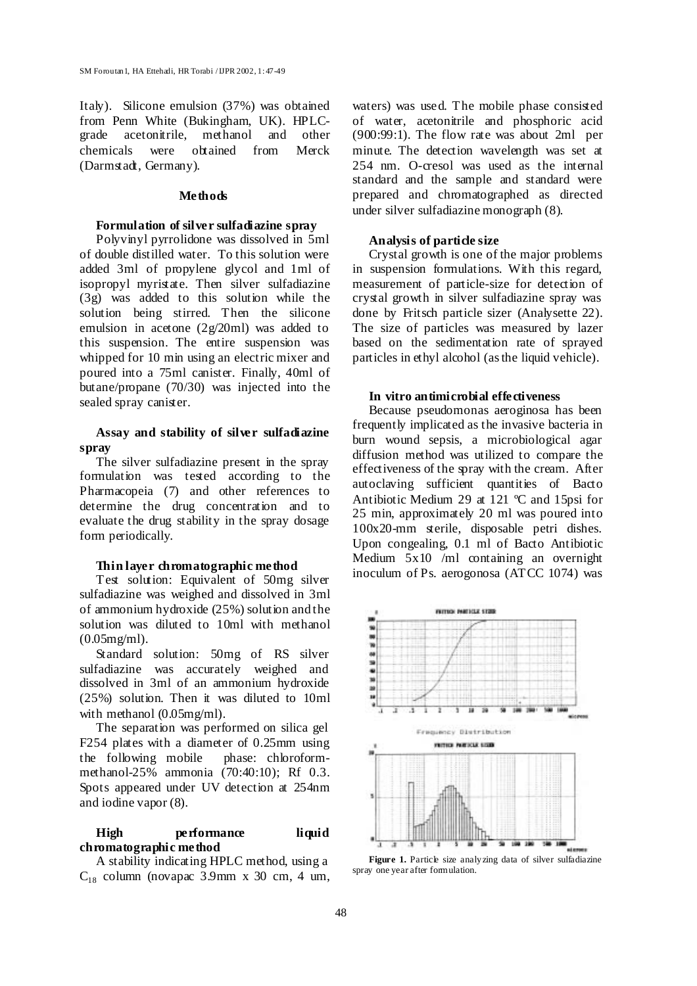Italy). Silicone emulsion (37%) was obtained from Penn White (Bukingham, UK). HPLCgrade acetonitrile, methanol and other chemicals were obtained from Merck (Darmstadt, Germany).

#### **Methods**

## **Formulation of silver sulfadiazine spray**

Polyvinyl pyrrolidone was dissolved in 5ml of double distilled water. To this solution were added 3ml of propylene glycol and 1ml of isopropyl myristate. Then silver sulfadiazine (3g) was added to this solution while the solution being stirred. Then the silicone emulsion in acetone (2g/20ml) was added to this suspension. The entire suspension was whipped for 10 min using an electric mixer and poured into a 75ml canister. Finally, 40ml of butane/propane (70/30) was injected into the sealed spray canister.

## **Assay and stability of silver sulfadiazine spray**

The silver sulfadiazine present in the spray formulation was tested according to the Pharmacopeia (7) and other references to determine the drug concentration and to evaluate the drug stability in the spray dosage form periodically.

#### **Thin layer chromatographic method**

Test solution: Equivalent of 50mg silver sulfadiazine was weighed and dissolved in 3ml of ammonium hydroxide (25%) solution and the solution was diluted to 10ml with methanol (0.05mg/ml).

Standard solution: 50mg of RS silver sulfadiazine was accurately weighed and dissolved in 3ml of an ammonium hydroxide (25%) solution. Then it was diluted to 10ml with methanol (0.05mg/ml).

The separation was performed on silica gel F254 plates with a diameter of 0.25mm using the following mobile phase: chloroformmethanol-25% ammonia (70:40:10); Rf 0.3. Spots appeared under UV detection at 254nm and iodine vapor (8).

#### **High performance liquid chromatographic method**

A stability indicating HPLC method, using a  $C_{18}$  column (novapac 3.9mm x 30 cm, 4 um, waters) was used. The mobile phase consisted of water, acetonitrile and phosphoric acid (900:99:1). The flow rate was about 2ml per minute. The detection wavelength was set at 254 nm. O-cresol was used as the internal standard and the sample and standard were prepared and chromatographed as directed under silver sulfadiazine monograph (8).

## **Analysis of particle size**

Crystal growth is one of the major problems in suspension formulations. With this regard, measurement of particle-size for detection of crystal growth in silver sulfadiazine spray was done by Fritsch particle sizer (Analysette 22). The size of particles was measured by lazer based on the sedimentation rate of sprayed particles in ethyl alcohol (as the liquid vehicle).

### **In vitro antimicrobial effectiveness**

Because pseudomonas aeroginosa has been frequently implicated as the invasive bacteria in burn wound sepsis, a microbiological agar diffusion method was utilized to compare the effectiveness of the spray with the cream. After autoclaving sufficient quantities of Bacto Antibiotic Medium 29 at 121 ºC and 15psi for 25 min, approximately 20 ml was poured into 100x20-mm sterile, disposable petri dishes. Upon congealing, 0.1 ml of Bacto Antibiotic Medium 5x10 /ml containing an overnight inoculum of Ps. aerogonosa (ATCC 1074) was



Figure 1. Particle size analy zing data of silver sulfadiazine spray one year after formulation.